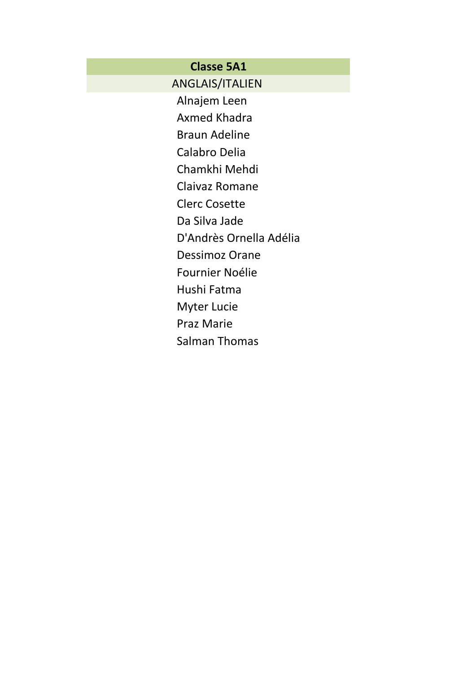# **Classe 5A1**

ANGLAIS/ITALIEN

Alnajem Leen

Axmed Khadra

Braun Adeline Calabro Delia

Chamkhi Mehdi

Claivaz Romane

Clerc Cosette

Da Silva Jade

D'Andrès Ornella Adélia

Dessimoz Orane

Fournier Noélie

Hushi Fatma

Myter Lucie

Praz Marie

Salman Thomas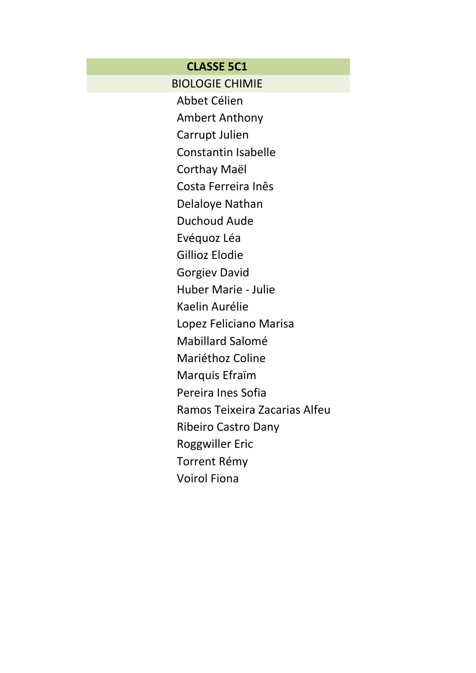### **CLASSE 5C1**

BIOLOGIE CHIMIE

Abbet Célien

Ambert Anthony

Carrupt Julien

Constantin Isabelle

Corthay Maël

Costa Ferreira Inês

Delaloye Nathan

Duchoud Aude

Evéquoz Léa

Gillioz Elodie

Gorgiev David

Huber Marie - Julie

Kaelin Aurélie

Lopez Feliciano Marisa

Mabillard Salomé

Mariéthoz Coline

Marquis Efraïm

Pereira Ines Sofia

Ramos Teixeira Zacarias Alfeu

Ribeiro Castro Dany

Roggwiller Eric

Torrent Rémy

Voirol Fiona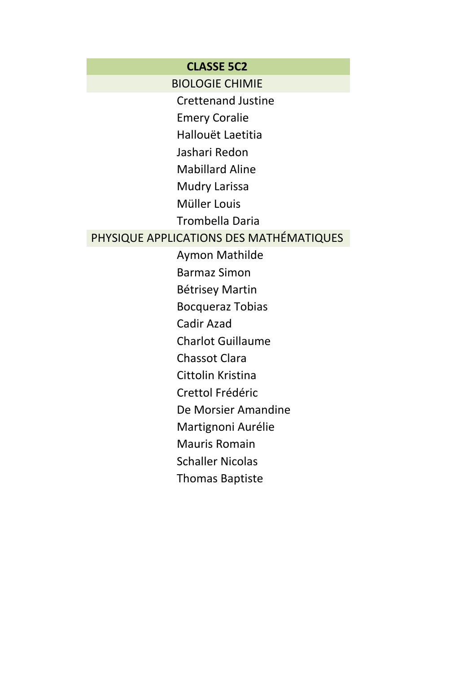#### **CLASSE 5C2**

BIOLOGIE CHIMIE

Crettenand Justine

Emery Coralie

Hallouët Laetitia

Jashari Redon

Mabillard Aline

Mudry Larissa

Müller Louis

Trombella Daria

# PHYSIQUE APPLICATIONS DES MATHÉMATIQUES

Aymon Mathilde Barmaz Simon Bétrisey Martin Bocqueraz Tobias Cadir Azad Charlot Guillaume Chassot Clara Cittolin Kristina Crettol Frédéric De Morsier Amandine Martignoni Aurélie Mauris Romain Schaller Nicolas

Thomas Baptiste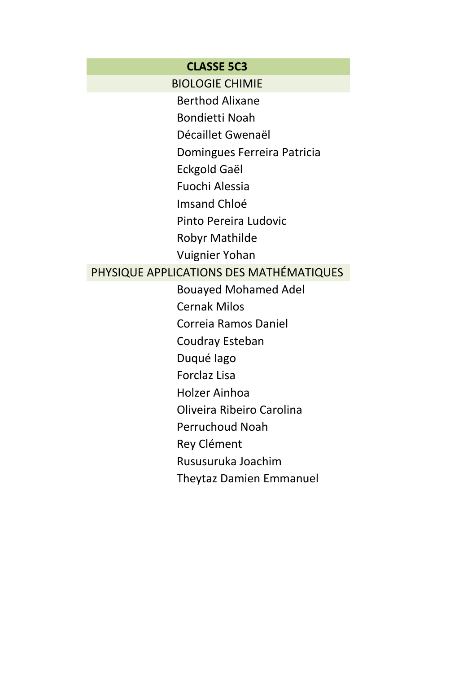#### **CLASSE 5C3**

BIOLOGIE CHIMIE

Berthod Alixane

Bondietti Noah

Décaillet Gwenaël

Domingues Ferreira Patricia

Eckgold Gaël

Fuochi Alessia

Imsand Chloé

Pinto Pereira Ludovic

Robyr Mathilde

Vuignier Yohan

## PHYSIQUE APPLICATIONS DES MATHÉMATIQUES

Bouayed Mohamed Adel

Cernak Milos

Correia Ramos Daniel

Coudray Esteban

Duqué Iago

Forclaz Lisa

Holzer Ainhoa

Oliveira Ribeiro Carolina

Perruchoud Noah

Rey Clément

Rususuruka Joachim

Theytaz Damien Emmanuel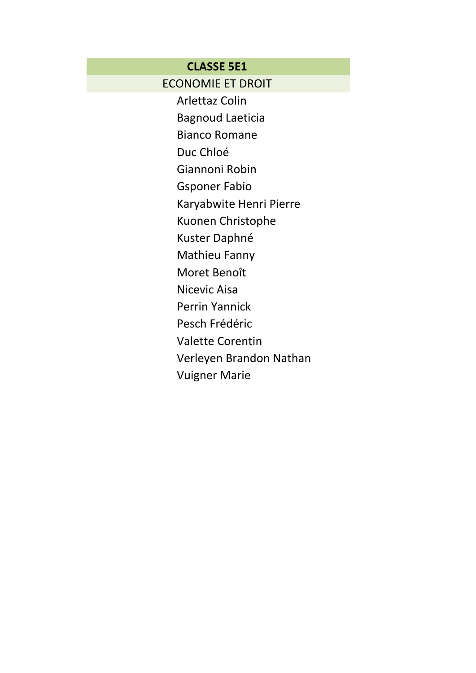## **CLASSE 5E1**

**ECONOMIE ET DROIT** 

**Arlettaz Colin** 

**Bagnoud Laeticia** 

**Bianco Romane** 

Duc Chloé

Giannoni Robin

**Gsponer Fabio** 

Karyabwite Henri Pierre

Kuonen Christophe

Kuster Daphné

**Mathieu Fanny** 

Moret Benoît

Nicevic Aisa

**Perrin Yannick** 

Pesch Frédéric

**Valette Corentin** 

Verleyen Brandon Nathan

**Vuigner Marie**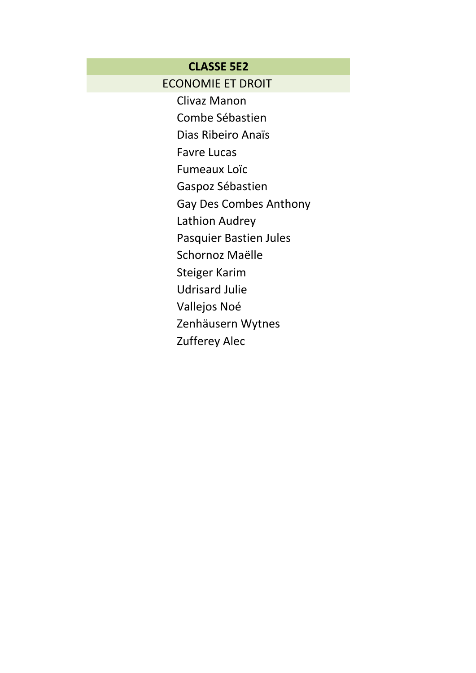### **CLASSE 5E2**

# **ECONOMIE ET DROIT**

Clivaz Manon Combe Sébastien Dias Ribeiro Anaïs **Favre Lucas Fumeaux Loïc** Gaspoz Sébastien **Gay Des Combes Anthony** Lathion Audrey Pasquier Bastien Jules Schornoz Maëlle **Steiger Karim Udrisard Julie** Vallejos Noé Zenhäusern Wytnes Zufferey Alec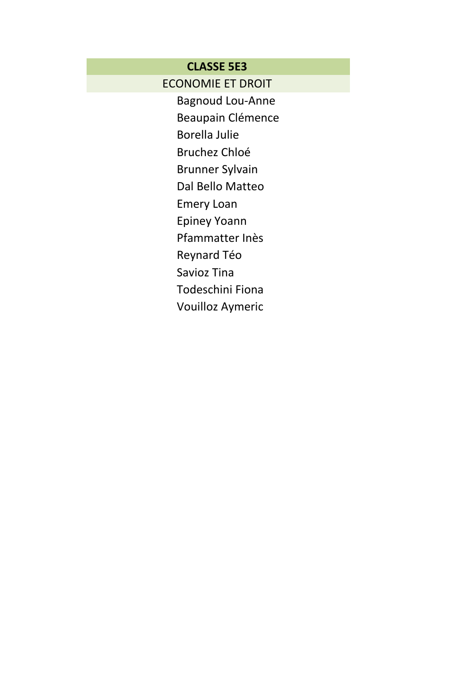# **CLASSE 5E3**

**ECONOMIE ET DROIT** 

**Bagnoud Lou-Anne** Beaupain Clémence

**Borella Julie** 

**Bruchez Chloé** 

**Brunner Sylvain** 

Dal Bello Matteo

**Emery Loan** 

**Epiney Yoann** 

Pfammatter Inès

Reynard Téo

Savioz Tina

Todeschini Fiona

Vouilloz Aymeric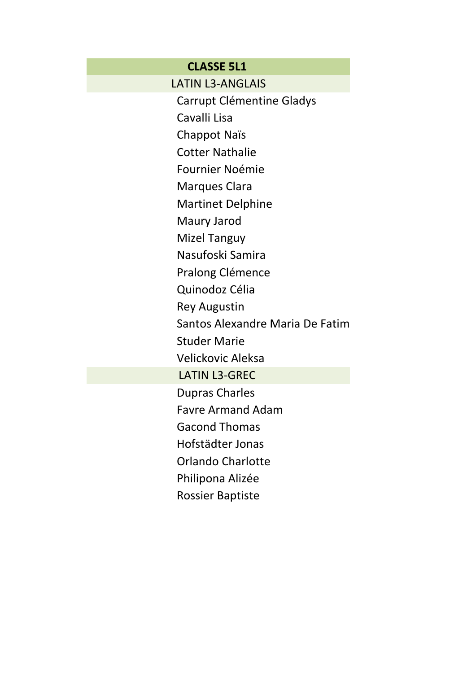## **CLASSE 5L1**

LATIN L3-ANGLAIS

Carrupt Clémentine Gladys

Cavalli Lisa

Chappot Naïs

Cotter Nathalie

Fournier Noémie

Marques Clara

Martinet Delphine

Maury Jarod

Mizel Tanguy

Nasufoski Samira

Pralong Clémence

Quinodoz Célia

Rey Augustin

Santos Alexandre Maria De Fatim

Studer Marie

Velickovic Aleksa

LATIN L3-GREC

Dupras Charles

Favre Armand Adam

Gacond Thomas

Hofstädter Jonas

Orlando Charlotte

Philipona Alizée

Rossier Baptiste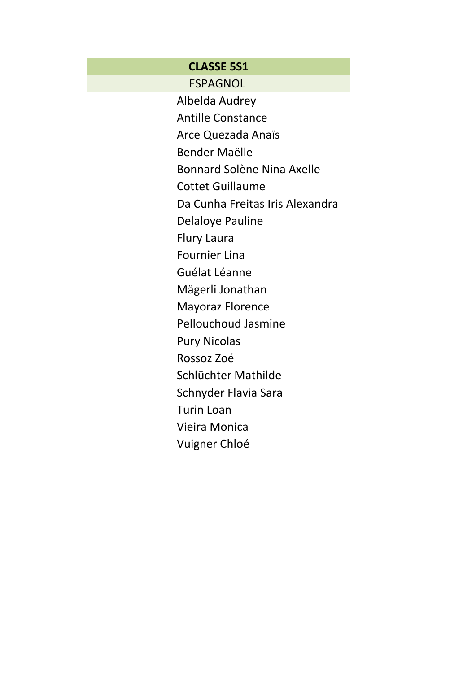## **CLASSE 5S1**

ESPAGNOL

Albelda Audrey Antille Constance Arce Quezada Anaïs Bender Maëlle Bonnard Solène Nina Axelle Cottet Guillaume Da Cunha Freitas Iris Alexandra Delaloye Pauline Flury Laura Fournier Lina Guélat Léanne Mägerli Jonathan Mayoraz Florence Pellouchoud Jasmine Pury Nicolas Rossoz Zoé Schlüchter Mathilde Schnyder Flavia Sara Turin Loan Vieira Monica Vuigner Chloé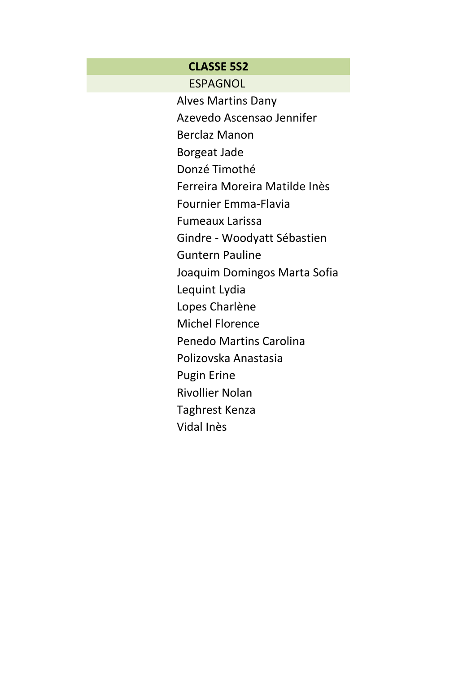#### **CLASSE 5S2**

ESPAGNOL

Alves Martins Dany Azevedo Ascensao Jennifer

Berclaz Manon

Borgeat Jade

Donzé Timothé

Ferreira Moreira Matilde Inès

Fournier Emma-Flavia

Fumeaux Larissa

Gindre - Woodyatt Sébastien

Guntern Pauline

Joaquim Domingos Marta Sofia

Lequint Lydia

Lopes Charlène

Michel Florence

Penedo Martins Carolina

Polizovska Anastasia

Pugin Erine

Rivollier Nolan

Taghrest Kenza

Vidal Inès